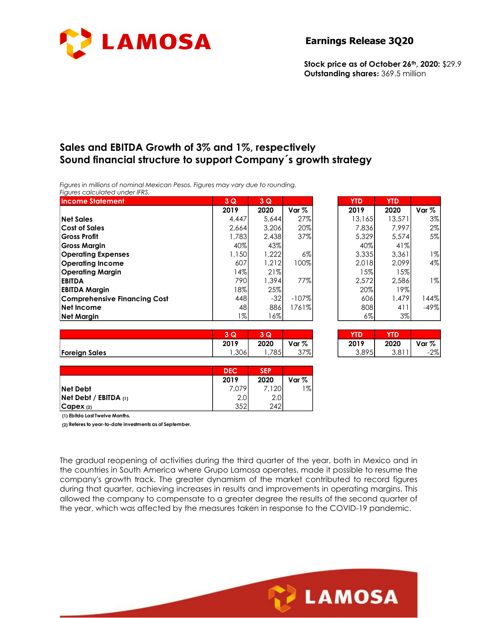

### Earnings Release 3Q20

# Sales and EBITDA Growth of 3% and 1%, respectively Sound financial structure to support Company´s growth strategy

| <b>LAMOSA</b>                                                                                                                                                                       |            |            |                  | <b>Earnings Release 3Q20</b>                                                      |            |                  |
|-------------------------------------------------------------------------------------------------------------------------------------------------------------------------------------|------------|------------|------------------|-----------------------------------------------------------------------------------|------------|------------------|
|                                                                                                                                                                                     |            |            |                  | Stock price as of October 26th, 2020: \$29.9<br>Outstanding shares: 369.5 million |            |                  |
| Sales and EBITDA Growth of 3% and 1%, respectively                                                                                                                                  |            |            |                  |                                                                                   |            |                  |
| Sound financial structure to support Company's growth strategy<br>Figures in millions of nominal Mexican Pesos. Figures may vary due to rounding.<br>Figures calculated under IFRS. |            |            |                  |                                                                                   |            |                  |
| <b>Income Statement</b>                                                                                                                                                             | 3 Q        | 3Q         |                  | <b>YTD</b>                                                                        | <b>YTD</b> |                  |
|                                                                                                                                                                                     | 2019       | 2020       | Var <sub>%</sub> | 2019                                                                              | 2020       | Var <sub>%</sub> |
| <b>Net Sales</b>                                                                                                                                                                    | 4,447      |            |                  |                                                                                   |            | 3%               |
|                                                                                                                                                                                     |            | 5,644      | 27%              | 13,165                                                                            | 13,571     |                  |
| <b>Cost of Sales</b>                                                                                                                                                                | 2,664      | 3,206      | 20%              | 7,836                                                                             | 7,997      | $2\%$            |
| <b>Gross Profit</b>                                                                                                                                                                 | 1,783      | 2,438      | 37%              | 5,329                                                                             | 5,574      | 5%               |
| <b>Gross Margin</b>                                                                                                                                                                 | 40%        | 43%        |                  | 40%                                                                               | 41%        |                  |
| <b>Operating Expenses</b>                                                                                                                                                           | 1,150      | 1,222      | 6%               | 3,335                                                                             | 3,361      | $1\%$            |
| <b>Operating Income</b>                                                                                                                                                             | 607        | 1,212      | 100%             | 2,018                                                                             | 2,099      | 4%               |
| <b>Operating Margin</b>                                                                                                                                                             | 14%        | 21%        |                  | 15%                                                                               | 15%        |                  |
| <b>EBITDA</b>                                                                                                                                                                       | 790        | 1,394      | 77%              | 2,572                                                                             | 2,586      | $1\%$            |
| <b>EBITDA Margin</b>                                                                                                                                                                | 18%        | 25%        |                  | 20%                                                                               | 19%        |                  |
| <b>Comprehensive Financing Cost</b>                                                                                                                                                 | 448        | $-32$      | $-107%$          | 606                                                                               | 1,479      | 144%             |
| Net Income                                                                                                                                                                          | 48         | 886        | 1761%            | 808                                                                               | 411        | $-49%$           |
| <b>Net Margin</b>                                                                                                                                                                   | $1\%$      | 16%        |                  | $6\%$                                                                             | 3%         |                  |
|                                                                                                                                                                                     |            |            |                  |                                                                                   |            |                  |
|                                                                                                                                                                                     | 3Q         | 3Q         |                  | <b>YTD</b>                                                                        | <b>YTD</b> |                  |
|                                                                                                                                                                                     | 2019       | 2020       | Var %            | 2019                                                                              | 2020       | Var %            |
| <b>Foreign Sales</b>                                                                                                                                                                | 1,306      | 1,785      | 37%              | 3,895                                                                             | 3,811      | $-2%$            |
|                                                                                                                                                                                     |            |            |                  |                                                                                   |            |                  |
|                                                                                                                                                                                     | <b>DEC</b> | <b>SEP</b> |                  |                                                                                   |            |                  |
|                                                                                                                                                                                     | 2019       | 2020       | Var %            |                                                                                   |            |                  |
| <b>Net Debt</b>                                                                                                                                                                     | 7,079      | 7,120      | $1\%$            |                                                                                   |            |                  |
| Net Debt / EBITDA (1)<br>CapeX (2)                                                                                                                                                  | 2.0<br>352 | 2.0<br>242 |                  |                                                                                   |            |                  |

| nd 1%, respectively<br>ay vary due to rounding.<br>3Q<br>2020<br>5,644<br>3,206<br>2,438<br>43%<br>1,222 | Var %<br>27%<br>20%<br>37% | <b>Earnings Release 3Q20</b><br>Stock price as of October 26th, 2020: \$29.9<br>Outstanding shares: 369.5 million<br>ort Company's growth strategy | <b>YTD</b><br>2019<br>13,165<br>7,836 | <b>YTD</b><br>2020<br>13,571<br>7,997 | Var %<br>3%<br>$2\%$ |
|----------------------------------------------------------------------------------------------------------|----------------------------|----------------------------------------------------------------------------------------------------------------------------------------------------|---------------------------------------|---------------------------------------|----------------------|
|                                                                                                          |                            |                                                                                                                                                    |                                       |                                       |                      |
|                                                                                                          |                            |                                                                                                                                                    |                                       |                                       |                      |
|                                                                                                          |                            |                                                                                                                                                    |                                       |                                       |                      |
|                                                                                                          |                            |                                                                                                                                                    |                                       |                                       |                      |
|                                                                                                          |                            |                                                                                                                                                    |                                       |                                       |                      |
|                                                                                                          |                            |                                                                                                                                                    |                                       |                                       |                      |
|                                                                                                          |                            |                                                                                                                                                    |                                       |                                       |                      |
|                                                                                                          |                            |                                                                                                                                                    |                                       |                                       |                      |
|                                                                                                          |                            |                                                                                                                                                    |                                       |                                       |                      |
|                                                                                                          |                            |                                                                                                                                                    |                                       |                                       |                      |
|                                                                                                          |                            |                                                                                                                                                    | 5,329<br>40%                          | 5,574<br>41%                          | 5%                   |
|                                                                                                          | $6\%$                      |                                                                                                                                                    | 3,335                                 | 3,361                                 | $1\%$                |
| 1,212                                                                                                    | 100%                       |                                                                                                                                                    | 2,018                                 | 2,099                                 | 4%                   |
| 21%                                                                                                      |                            |                                                                                                                                                    | 15%                                   | 15%                                   |                      |
| 1,394                                                                                                    | 77%                        |                                                                                                                                                    | 2,572                                 | 2,586                                 | $1\%$                |
| 25%<br>$-32$                                                                                             | $-107%$                    |                                                                                                                                                    | 20%<br>606                            | 19%<br>1,479                          | 144%                 |
| 886                                                                                                      | 1761%                      |                                                                                                                                                    | 808                                   |                                       | $-49%$               |
|                                                                                                          |                            |                                                                                                                                                    | $6\%$                                 | 3%                                    |                      |
|                                                                                                          |                            |                                                                                                                                                    |                                       |                                       |                      |
| 2020                                                                                                     | Var %                      |                                                                                                                                                    |                                       | 2020                                  | Var %                |
|                                                                                                          | 37%                        |                                                                                                                                                    | 3,895                                 | 3,811                                 | $-2%$                |
| <b>SEP</b>                                                                                               |                            |                                                                                                                                                    |                                       |                                       |                      |
| 2020                                                                                                     | Var %                      |                                                                                                                                                    |                                       |                                       |                      |
|                                                                                                          |                            |                                                                                                                                                    |                                       |                                       |                      |
|                                                                                                          |                            |                                                                                                                                                    |                                       |                                       |                      |
|                                                                                                          | 3Q                         | 16%<br>1,785<br>7,120<br>$1\%$<br>$2.0\,$<br>242                                                                                                   |                                       | <b>YTD</b><br>2019                    | 411<br><b>YTD</b>    |

|                      | 2<br>w                  | Q    |       |
|----------------------|-------------------------|------|-------|
|                      | 2019                    | 2020 | Var % |
| <b>Foreign Sales</b> | 20 <sub>1</sub><br>,טטס | 785  | 37%   |

| YID   | YID   |       |
|-------|-------|-------|
| 2019  | 2020  | Var % |
| 3,895 | 3,811 | -2%   |

|                           | <b>DEC</b> | <b>SEP</b> |         |
|---------------------------|------------|------------|---------|
|                           | 2019       | 2020       | Var $%$ |
| <b>Net Debt</b>           | 7.079      | 7.120      | 1%      |
| $Net$ Debt / EBITDA $(1)$ | 2.0        | 2.0        |         |
| $ C$ apex $(2)$           | つよつ<br>JJZ | 242        |         |

The gradual reopening of activities during the third quarter of the year, both in Mexico and in the countries in South America where Grupo Lamosa operates, made it possible to resume the company's growth track. The greater dynamism of the market contributed to record figures during that quarter, achieving increases in results and improvements in operating margins. This allowed the company to compensate to a greater degree the results of the second quarter of the year, which was affected by the measures taken in response to the COVID-19 pandemic.

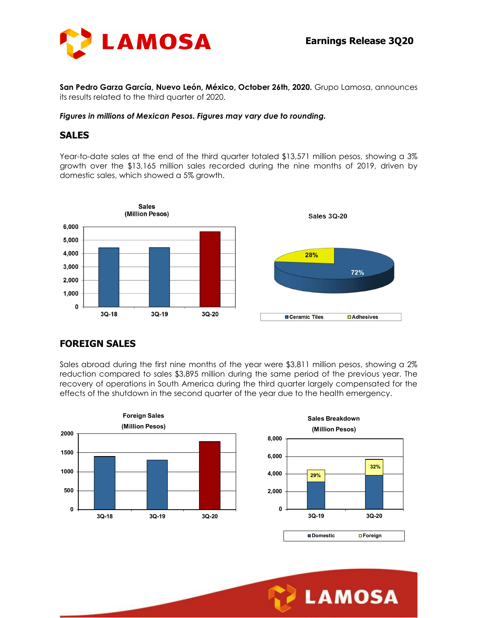

San Pedro Garza García, Nuevo León, México, October 26th, 2020. Grupo Lamosa, announces its results related to the third quarter of 2020.

#### Figures in millions of Mexican Pesos. Figures may vary due to rounding.

#### SALES

Year-to-date sales at the end of the third quarter totaled \$13,571 million pesos, showing a 3% growth over the \$13,165 million sales recorded during the nine months of 2019, driven by domestic sales, which showed a 5% growth.



# FOREIGN SALES

Sales abroad during the first nine months of the year were \$3,811 million pesos, showing a 2% reduction compared to sales \$3,895 million during the same period of the previous year. The recovery of operations in South America during the third quarter largely compensated for the effects of the shutdown in the second quarter of the year due to the health emergency.





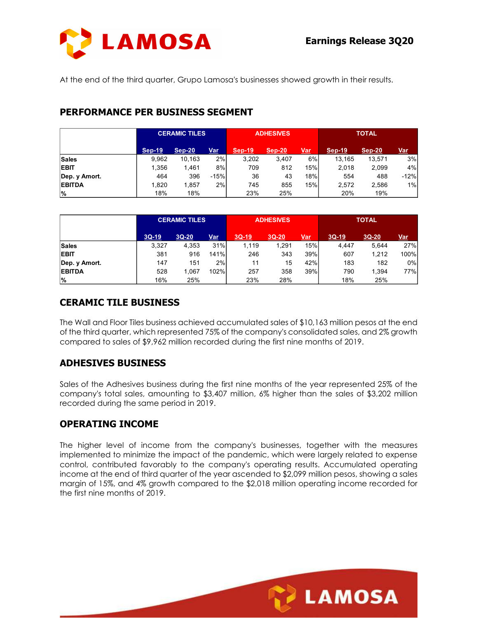

# PERFORMANCE PER BUSINESS SEGMENT

| At the end of the third quarter, Grupo Lamosa's businesses showed growth in their results. |                                  |                      |        |               |                  |     |               |               |        |
|--------------------------------------------------------------------------------------------|----------------------------------|----------------------|--------|---------------|------------------|-----|---------------|---------------|--------|
|                                                                                            |                                  |                      |        |               |                  |     |               |               |        |
|                                                                                            |                                  |                      |        |               |                  |     |               |               |        |
|                                                                                            |                                  |                      |        |               |                  |     |               |               |        |
|                                                                                            | PERFORMANCE PER BUSINESS SEGMENT |                      |        |               |                  |     |               |               |        |
|                                                                                            |                                  |                      |        |               |                  |     |               |               |        |
|                                                                                            |                                  | <b>CERAMIC TILES</b> |        |               | <b>ADHESIVES</b> |     |               | <b>TOTAL</b>  |        |
|                                                                                            |                                  |                      |        |               |                  |     |               |               |        |
|                                                                                            | <b>Sep-19</b>                    | <b>Sep-20</b>        | Var    | <b>Sep-19</b> | <b>Sep-20</b>    | Var | <b>Sep-19</b> | <b>Sep-20</b> | Var    |
| <b>Sales</b>                                                                               | 9,962                            | 10,163               | 2%     | 3,202         | 3,407            | 6%  | 13,165        | 13,571        | 3%     |
| <b>EBIT</b>                                                                                | 1,356                            | 1,461                | 8%     | 709           | 812              | 15% | 2,018         | 2,099         | 4%     |
| Dep. y Amort.                                                                              | 464                              | 396                  | $-15%$ | 36            | 43               | 18% | 554           | 488           | $-12%$ |
| <b>EBITDA</b>                                                                              | 1,820<br>18%                     | 1,857                | 2%     | 745           | 855              | 15% | 2,572         | 2,586         | 1%     |
|                                                                                            |                                  | 18%                  |        | 23%           | 25%              |     | 20%           | 19%           |        |
|                                                                                            |                                  |                      |        |               |                  |     |               |               |        |
| $\%$                                                                                       |                                  |                      |        |               |                  |     |               |               |        |
|                                                                                            |                                  | <b>CERAMIC TILES</b> |        |               | <b>ADHESIVES</b> |     |               | <b>TOTAL</b>  |        |
|                                                                                            | $3Q-19$                          | 3Q-20                | Var    | $3Q-19$       | 3Q-20            | Var | $3Q-19$       | 3Q-20         | Var    |
|                                                                                            | 3,327                            | 4,353                | 31%    | 1,119         | 1,291            | 15% | 4,447         | 5,644         | 27%    |
|                                                                                            | 381                              | 916                  | 141%   | 246           | 343              | 39% | 607           | 1,212         | 100%   |
|                                                                                            | 147                              | 151                  | 2%     | 11            | 15               | 42% | 183           | 182           | 0%     |
| <b>Sales</b><br><b>EBIT</b><br>Dep. y Amort.<br><b>EBITDA</b>                              | 528                              | 1,067                | 102%   | 257           | 358              | 39% | 790           | 1,394<br>25%  | 77%    |

|               |         | <b>CERAMIC TILES</b> |      |         | <b>ADHESIVES</b> |            |         | <b>TOTAL</b> |            |
|---------------|---------|----------------------|------|---------|------------------|------------|---------|--------------|------------|
|               | $3Q-19$ | $3Q-20$              | Var  | $3Q-19$ | $3Q-20$          | <u>Var</u> | $3Q-19$ | $3Q-20$      | <u>Var</u> |
| <b>Sales</b>  | 3,327   | 4,353                | 31%  | 1,119   | 1,291            | 15%।       | 4,447   | 5,644        | 27%        |
| <b>EBIT</b>   | 381     | 916                  | 141% | 246     | 343              | 39%        | 607     | 1,212        | 100%       |
| Dep. y Amort. | 147     | 151                  | 2%   |         | 15               | 42%        | 183     | 182          | 0%         |
| <b>EBITDA</b> | 528     | .067                 | 102% | 257     | 358              | 39%        | 790     | ,394         | 77%        |
| $\frac{9}{6}$ | 16%     | 25%                  |      | 23%     | 28%              |            | 18%     | 25%          |            |

# CERAMIC TILE BUSINESS

The Wall and Floor Tiles business achieved accumulated sales of \$10,163 million pesos at the end of the third quarter, which represented 75% of the company's consolidated sales, and 2% growth compared to sales of \$9,962 million recorded during the first nine months of 2019.

# ADHESIVES BUSINESS

Sales of the Adhesives business during the first nine months of the year represented 25% of the company's total sales, amounting to \$3,407 million, 6% higher than the sales of \$3,202 million recorded during the same period in 2019.

# OPERATING INCOME

The higher level of income from the company's businesses, together with the measures implemented to minimize the impact of the pandemic, which were largely related to expense control, contributed favorably to the company's operating results. Accumulated operating income at the end of third quarter of the year ascended to \$2,099 million pesos, showing a sales margin of 15%, and 4% growth compared to the \$2,018 million operating income recorded for the first nine months of 2019.

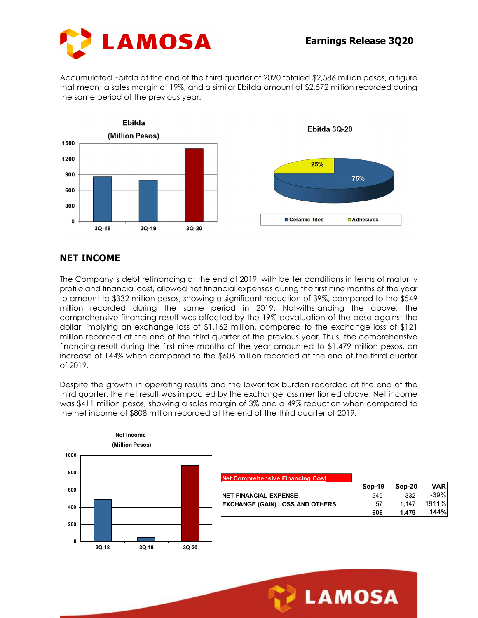



Accumulated Ebitda at the end of the third quarter of 2020 totaled \$2,586 million pesos, a figure that meant a sales margin of 19%, and a similar Ebitda amount of \$2,572 million recorded during the same period of the previous year.



### NET INCOME

The Company´s debt refinancing at the end of 2019, with better conditions in terms of maturity profile and financial cost, allowed net financial expenses during the first nine months of the year to amount to \$332 million pesos, showing a significant reduction of 39%, compared to the \$549 million recorded during the same period in 2019. Notwithstanding the above, the comprehensive financing result was affected by the 19% devaluation of the peso against the dollar, implying an exchange loss of \$1,162 million, compared to the exchange loss of \$121 million recorded at the end of the third quarter of the previous year. Thus, the comprehensive financing result during the first nine months of the year amounted to \$1,479 million pesos, an increase of 144% when compared to the \$606 million recorded at the end of the third quarter of 2019. **IE**<br>
If  $\frac{1}{2}$ <br>  $\frac{1}{2}$ <br>  $\frac{1}{2}$  (sept refinancing at the end of 2019, with better conditions in terms of the<br>
state million pesos, showing a ignificant reduction of 39%, compared to the<br>
ded during the same perio

Despite the growth in operating results and the lower tax burden recorded at the end of the third quarter, the net result was impacted by the exchange loss mentioned above. Net income was \$411 million pesos, showing a sales margin of 3% and a 49% reduction when compared to the net income of \$808 million recorded at the end of the third quarter of 2019.



| <b>Net Comprehensive Financing Cost</b> |        |        |            |
|-----------------------------------------|--------|--------|------------|
|                                         | Sep-19 | Sep-20 | <b>VAR</b> |
| <b>NET FINANCIAL EXPENSE</b>            | 549    | 332    | $-39%$     |
| <b>EXCHANGE (GAIN) LOSS AND OTHERS</b>  | 57     | 1.147  | 1911%      |
|                                         | 606    | l.479  | 144%       |